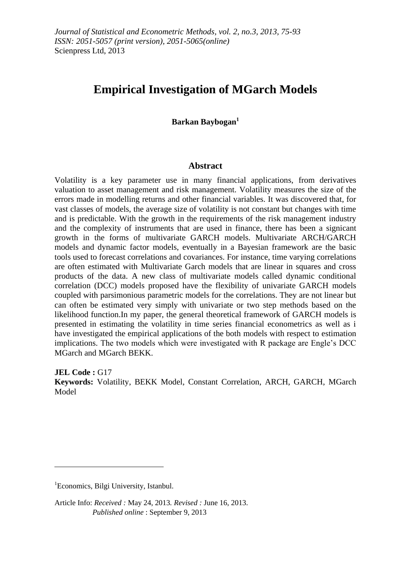# **Empirical Investigation of MGarch Models**

**Barkan Baybogan<sup>1</sup>**

#### **Abstract**

Volatility is a key parameter use in many financial applications, from derivatives valuation to asset management and risk management. Volatility measures the size of the errors made in modelling returns and other financial variables. It was discovered that, for vast classes of models, the average size of volatility is not constant but changes with time and is predictable. With the growth in the requirements of the risk management industry and the complexity of instruments that are used in finance, there has been a signicant growth in the forms of multivariate GARCH models. Multivariate ARCH/GARCH models and dynamic factor models, eventually in a Bayesian framework are the basic tools used to forecast correlations and covariances. For instance, time varying correlations are often estimated with Multivariate Garch models that are linear in squares and cross products of the data. A new class of multivariate models called dynamic conditional correlation (DCC) models proposed have the flexibility of univariate GARCH models coupled with parsimonious parametric models for the correlations. They are not linear but can often be estimated very simply with univariate or two step methods based on the likelihood function.In my paper, the general theoretical framework of GARCH models is presented in estimating the volatility in time series financial econometrics as well as i have investigated the empirical applications of the both models with respect to estimation implications. The two models which were investigated with R package are Engle"s DCC MGarch and MGarch BEKK.

**JEL Code :** G17 **Keywords:** Volatility, BEKK Model, Constant Correlation, ARCH, GARCH, MGarch Model

 $\overline{a}$ 

<sup>&</sup>lt;sup>1</sup>Economics, Bilgi University, Istanbul.

Article Info: *Received :* May 24, 2013*. Revised :* June 16, 2013.  *Published online* : September 9, 2013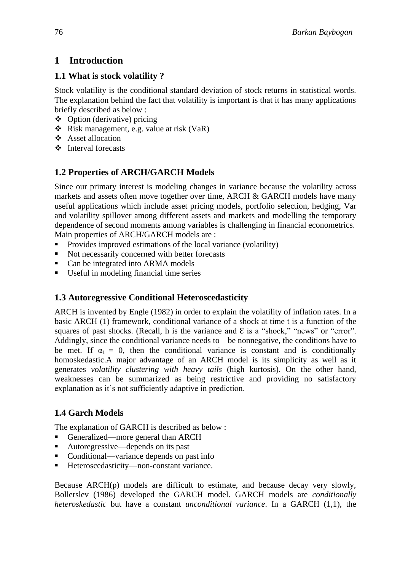# **1 Introduction**

## **1.1 What is stock volatility ?**

Stock volatility is the conditional standard deviation of stock returns in statistical words. The explanation behind the fact that volatility is important is that it has many applications briefly described as below :

- Option (derivative) pricing
- $\triangleleft$  Risk management, e.g. value at risk (VaR)
- Asset allocation
- $\div$  Interval forecasts

# **1.2 Properties of ARCH/GARCH Models**

Since our primary interest is modeling changes in variance because the volatility across markets and assets often move together over time, ARCH & GARCH models have many useful applications which include asset pricing models, portfolio selection, hedging, Var and volatility spillover among different assets and markets and modelling the temporary dependence of second moments among variables is challenging in financial econometrics. Main properties of ARCH/GARCH models are :

- Provides improved estimations of the local variance (volatility)
- Not necessarily concerned with better forecasts
- Can be integrated into ARMA models
- Useful in modeling financial time series

## **1.3 Autoregressive Conditional Heteroscedasticity**

ARCH is invented by Engle (1982) in order to explain the volatility of inflation rates. In a basic ARCH (1) framework, conditional variance of a shock at time t is a function of the squares of past shocks. (Recall, h is the variance and  $\epsilon$  is a "shock," "news" or "error". Addingly, since the conditional variance needs to be nonnegative, the conditions have to be met. If  $\alpha_1 = 0$ , then the conditional variance is constant and is conditionally homoskedastic.A major advantage of an ARCH model is its simplicity as well as it generates *volatility clustering with heavy tails* (high kurtosis). On the other hand, weaknesses can be summarized as being restrictive and providing no satisfactory explanation as it's not sufficiently adaptive in prediction.

# **1.4 Garch Models**

The explanation of GARCH is described as below :

- Generalized—more general than ARCH
- Autoregressive—depends on its past
- Conditional—variance depends on past info
- Heteroscedasticity—non-constant variance.

Because  $ARCH(p)$  models are difficult to estimate, and because decay very slowly, Bollerslev (1986) developed the GARCH model. GARCH models are *conditionally heteroskedastic* but have a constant *unconditional variance*. In a GARCH (1,1), the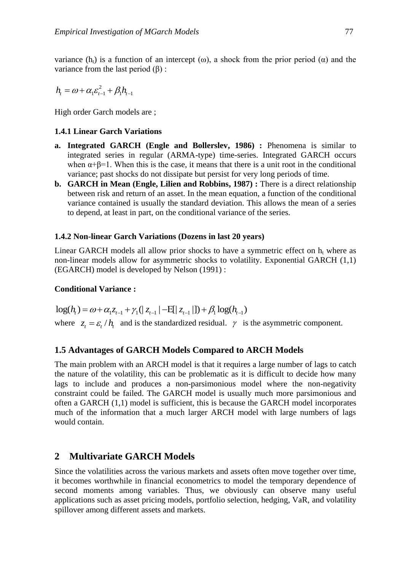variance (h<sub>t</sub>) is a function of an intercept ( $\omega$ ), a shock from the prior period ( $\alpha$ ) and the variance from the last period  $(β)$  :

$$
h_{t} = \omega + \alpha_1 \varepsilon_{t-1}^2 + \beta_1 h_{t-1}
$$

High order Garch models are ;

## **1.4.1 Linear Garch Variations**

- **a. Integrated GARCH (Engle and Bollerslev, 1986) :** Phenomena is similar to integrated series in regular (ARMA-type) time-series. Integrated GARCH occurs when  $\alpha+\beta=1$ . When this is the case, it means that there is a unit root in the conditional variance; past shocks do not dissipate but persist for very long periods of time.
- **b. GARCH in Mean (Engle, Lilien and Robbins, 1987) :** There is a direct relationship between risk and return of an asset. In the mean equation, a function of the conditional variance contained is usually the standard deviation. This allows the mean of a series to depend, at least in part, on the conditional variance of the series.

## **1.4.2 Non-linear Garch Variations (Dozens in last 20 years)**

Linear GARCH models all allow prior shocks to have a symmetric effect on  $h_t$ , where as non-linear models allow for asymmetric shocks to volatility. Exponential GARCH (1,1) (EGARCH) model is developed by Nelson (1991) :

## **Conditional Variance :**

 $\log(h_i) = \omega + \alpha_1 z_{t-1} + \gamma_1 (|z_{t-1}| - E[|z_{t-1}|]) + \beta_1 \log(h_{t-1})$ where  $z_t = \varepsilon_t / h_t$  and is the standardized residual.  $\gamma$  is the asymmetric component.

## **1.5 Advantages of GARCH Models Compared to ARCH Models**

The main problem with an ARCH model is that it requires a large number of lags to catch the nature of the volatility, this can be problematic as it is difficult to decide how many lags to include and produces a non-parsimonious model where the non-negativity constraint could be failed. The GARCH model is usually much more parsimonious and often a GARCH (1,1) model is sufficient, this is because the GARCH model incorporates much of the information that a much larger ARCH model with large numbers of lags would contain.

# **2 Multivariate GARCH Models**

Since the volatilities across the various markets and assets often move together over time, it becomes worthwhile in financial econometrics to model the temporary dependence of second moments among variables. Thus, we obviously can observe many useful applications such as asset pricing models, portfolio selection, hedging, VaR, and volatility spillover among different assets and markets.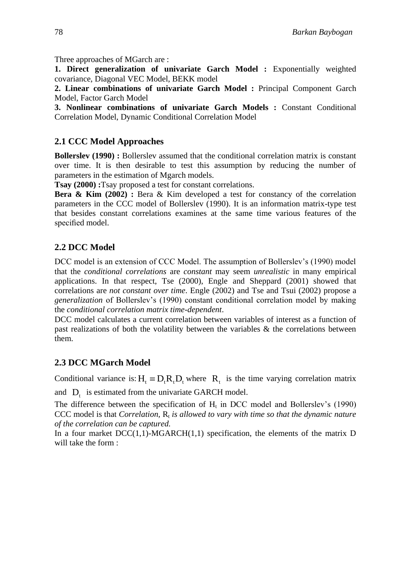Three approaches of MGarch are :

**1. Direct generalization of univariate Garch Model :** Exponentially weighted covariance, Diagonal VEC Model, BEKK model

**2. Linear combinations of univariate Garch Model :** Principal Component Garch Model, Factor Garch Model

**3. Nonlinear combinations of univariate Garch Models :** Constant Conditional Correlation Model, Dynamic Conditional Correlation Model

## **2.1 CCC Model Approaches**

**Bollerslev (1990) :** Bollerslev assumed that the conditional correlation matrix is constant over time. It is then desirable to test this assumption by reducing the number of parameters in the estimation of Mgarch models.

**Tsay (2000) :**Tsay proposed a test for constant correlations.

**Bera & Kim (2002) :** Bera & Kim developed a test for constancy of the correlation parameters in the CCC model of Bollerslev (1990). It is an information matrix-type test that besides constant correlations examines at the same time various features of the specified model.

## **2.2 DCC Model**

DCC model is an extension of CCC Model. The assumption of Bollerslev's (1990) model that the *conditional correlations* are *constant* may seem *unrealistic* in many empirical applications. In that respect, Tse (2000), Engle and Sheppard (2001) showed that correlations are *not constant over time*. Engle (2002) and Tse and Tsui (2002) propose a *generalization* of Bollerslev"s (1990) constant conditional correlation model by making the *conditional correlation matrix time-dependent*.

DCC model calculates a current correlation between variables of interest as a function of past realizations of both the volatility between the variables & the correlations between them.

# **2.3 DCC MGarch Model**

Conditional variance is:  $H_t = D_t R_t D_t$  where  $R_t$  is the time varying correlation matrix

and  $D_t$  is estimated from the univariate GARCH model.

The difference between the specification of  $H_t$  in DCC model and Bollerslev's (1990) CCC model is that *Correlation,*  $R_t$  *is allowed to vary with time so that the dynamic nature of the correlation can be captured.*

In a four market  $DCC(1,1)$ -MGARCH $(1,1)$  specification, the elements of the matrix D will take the form :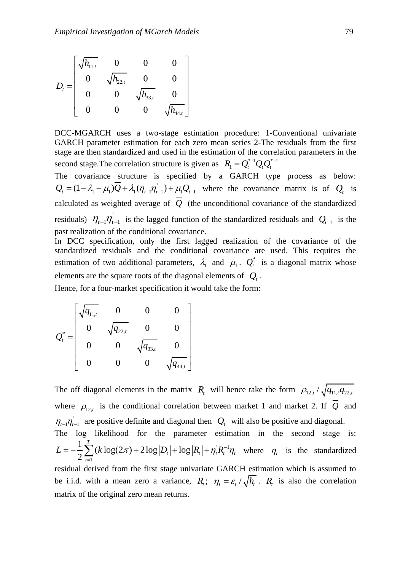$$
D_{t} = \begin{bmatrix} \sqrt{h_{11,t}} & 0 & 0 & 0 \\ 0 & \sqrt{h_{22,t}} & 0 & 0 \\ 0 & 0 & \sqrt{h_{33,t}} & 0 \\ 0 & 0 & 0 & \sqrt{h_{44,t}} \end{bmatrix}
$$

DCC-MGARCH uses a two-stage estimation procedure: 1-Conventional univariate GARCH parameter estimation for each zero mean series 2-The residuals from the first stage are then standardized and used in the estimation of the correlation parameters in the second stage. The correlation structure is given as  $R_1 = Q_t^{*-1} Q_t Q_t^{*-1}$ 

The covariance structure is specified by a GARCH type process as below: ' The covariance structure is specified by a GARCH type process as below:<br>  $Q_t = (1 - \lambda_1 - \mu_1)Q + \lambda_1(\eta_{t-1}\eta_{t-1}) + \mu_1Q_{t-1}$  where the covariance matrix is of  $Q_t$  is calculated as weighted average of *Q* (the unconditional covariance of the standardized residuals)  $\eta_{t-1}\eta_{t-1}$  is the lagged function of the standardized residuals and  $Q_{t-1}$  is the past realization of the conditional covariance.

In DCC specification, only the first lagged realization of the covariance of the standardized residuals and the conditional covariance are used. This requires the estimation of two additional parameters,  $\lambda_1$  and  $\mu_1$ .  $Q_t^*$  is a diagonal matrix whose elements are the square roots of the diagonal elements of *Qt* .

Hence, for a four-market specification it would take the form:

$$
Q_t^* = \begin{bmatrix} \sqrt{q_{11,t}} & 0 & 0 & 0 \\ 0 & \sqrt{q_{22,t}} & 0 & 0 \\ 0 & 0 & \sqrt{q_{33,t}} & 0 \\ 0 & 0 & 0 & \sqrt{q_{44,t}} \end{bmatrix}
$$

The off diagonal elements in the matrix  $R_t$  will hence take the form  $\rho_{12,t}/\sqrt{q_{11,t}q_{22,t}}$ where  $\rho_{12,t}$  is the conditional correlation between market 1 and market 2. If Q and  $\eta_{t-1}\eta_{t-1}$  are positive definite and diagonal then  $Q_1$  will also be positive and diagonal. The log likelihood for the parameter estimation in the second stage is:  $R^{-1}$ 1 1 og likelihood for the parar<br>  $\frac{1}{2}\sum_{t=1}^{T} (k \log(2\pi) + 2\log |D_t| + \log$ The log likelihood for the parameter estimation in the second stage is:<br>  $L = -\frac{1}{2} \sum_{t=1}^{T} (k \log(2\pi) + 2 \log |D_t| + \log |R_t| + \eta_t R_t^{-1} \eta_t$  where  $\eta_t$  is the standardized residual derived from the first stage univariate GARCH estimation which is assumed to be i.i.d. with a mean zero a variance,  $R_t$ ;  $\eta_t = \varepsilon_t / \sqrt{h_t}$ .  $R_t$  is also the correlation

matrix of the original zero mean returns.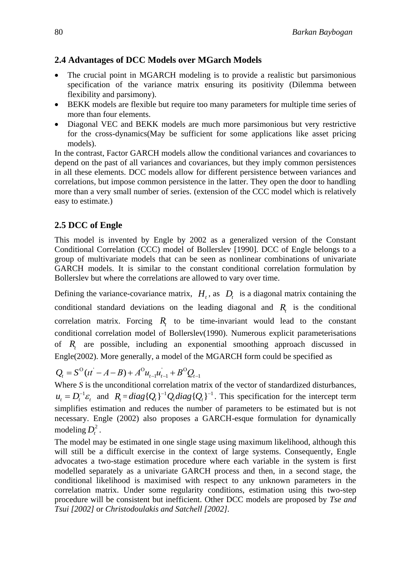# **2.4 Advantages of DCC Models over MGarch Models**

- The crucial point in MGARCH modeling is to provide a realistic but parsimonious specification of the variance matrix ensuring its positivity (Dilemma between flexibility and parsimony).
- BEKK models are flexible but require too many parameters for multiple time series of more than four elements.
- Diagonal VEC and BEKK models are much more parsimonious but very restrictive for the cross-dynamics(May be sufficient for some applications like asset pricing models).

In the contrast, Factor GARCH models allow the conditional variances and covariances to depend on the past of all variances and covariances, but they imply common persistences in all these elements. DCC models allow for different persistence between variances and correlations, but impose common persistence in the latter. They open the door to handling more than a very small number of series. (extension of the CCC model which is relatively easy to estimate.)

# **2.5 DCC of Engle**

This model is invented by Engle by 2002 as a generalized version of the Constant Conditional Correlation (CCC) model of Bollerslev [1990]. DCC of Engle belongs to a group of multivariate models that can be seen as nonlinear combinations of univariate GARCH models. It is similar to the constant conditional correlation formulation by Bollerslev but where the correlations are allowed to vary over time.

Defining the variance-covariance matrix,  $H_t$ , as  $D_t$  is a diagonal matrix containing the conditional standard deviations on the leading diagonal and  $R<sub>t</sub>$  is the conditional correlation matrix. Forcing  $R_t$  to be time-invariant would lead to the constant conditional correlation model of Bollerslev(1990). Numerous explicit parameterisations of *Rt* are possible, including an exponential smoothing approach discussed in Engle(2002). More generally, a model of the MGARCH form could be specified as

Engle(2002). More generally, a model of the M<br> $Q_t = S^{\text{O}}(t\bar{t} - A - B) + A^{\text{O}} u_{t-1} u_{t-1} + B^{\text{O}} Q_{t-1}$ 

Where *S* is the unconditional correlation matrix of the vector of standardized disturbances,  $u_t = D_t^{-1} \varepsilon_t$  and  $R_t = diag\{Q_t\}^{-1} Q_t diag\{Q_t\}^{-1}$ . This specification for the intercept term simplifies estimation and reduces the number of parameters to be estimated but is not necessary. Engle (2002) also proposes a GARCH-esque formulation for dynamically modeling  $D_t^2$ .

The model may be estimated in one single stage using maximum likelihood, although this will still be a difficult exercise in the context of large systems. Consequently, Engle advocates a two-stage estimation procedure where each variable in the system is first modelled separately as a univariate GARCH process and then, in a second stage, the conditional likelihood is maximised with respect to any unknown parameters in the correlation matrix. Under some regularity conditions, estimation using this two-step procedure will be consistent but inefficient. Other DCC models are proposed by *Tse and Tsui [2002]* or *Christodoulakis and Satchell [2002].*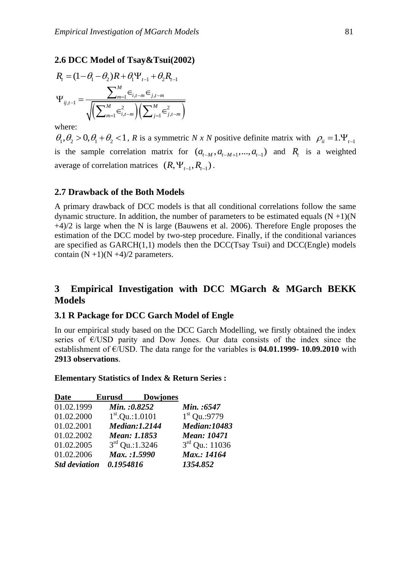**2.6 DCC Model of Tsay& Tsui(2002)**  
\n
$$
R_{i} = (1 - \theta_{1} - \theta_{2})R + \theta_{1} \Psi_{t-1} + \theta_{2} R_{t-1}
$$
\n
$$
\Psi_{ij,t-1} = \frac{\sum_{m=1}^{M} \epsilon_{i,t-m} \epsilon_{j,t-m}}{\sqrt{\left(\sum_{m=1}^{M} \epsilon_{i,t-m}^{2}\right)\left(\sum_{j=1}^{M} \epsilon_{j,t-m}^{2}\right)}}
$$

where:

 $\theta_1, \theta_2 > 0, \theta_1 + \theta_2 < 1$ , R is a symmetric N x N positive definite matrix with  $\rho_{ii} = 1.\Psi_{t-1}$ is the sample correlation matrix for  $(a_{t-M}, a_{t-M+1},..., a_{t-1})$  and  $R_t$  is a weighted average of correlation matrices  $(R, \Psi_{t-1}, R_{t-1})$ .

## **2.7 Drawback of the Both Models**

A primary drawback of DCC models is that all conditional correlations follow the same dynamic structure. In addition, the number of parameters to be estimated equals  $(N + 1)(N)$ +4)/2 is large when the N is large (Bauwens et al. 2006). Therefore Engle proposes the estimation of the DCC model by two-step procedure. Finally, if the conditional variances are specified as  $GARCH(1,1)$  models then the DCC(Tsay Tsui) and DCC(Engle) models contain  $(N +1)(N +4)/2$  parameters.

## **3 Empirical Investigation with DCC MGarch & MGarch BEKK Models**

## **3.1 R Package for DCC Garch Model of Engle**

In our empirical study based on the DCC Garch Modelling, we firstly obtained the index series of  $E/USD$  parity and Dow Jones. Our data consists of the index since the establishment of €/USD. The data range for the variables is **04.01.1999- 10.09.2010** with **2913 observations**.

**Elementary Statistics of Index & Return Series :** 

| Date                 | Eurusd                      | <b>Dowjones</b>      |                     |
|----------------------|-----------------------------|----------------------|---------------------|
| 01.02.1999           | Min.: 0.8252                |                      | Min.:6547           |
| 01.02.2000           | $1^{\text{st}}$ .Qu.:1.0101 |                      | $1st$ Qu.:9779      |
| 01.02.2001           |                             | <b>Median:1.2144</b> | <b>Median:10483</b> |
| 01.02.2002           | Mean: 1.1853                |                      | <b>Mean: 10471</b>  |
| 01.02.2005           | $3rd$ Qu.:1.3246            |                      | $3rd$ Qu.: 11036    |
| 01.02.2006           | Max.:1.5990                 |                      | Max.: 14164         |
| <b>Std deviation</b> | 0.1954816                   |                      | 1354.852            |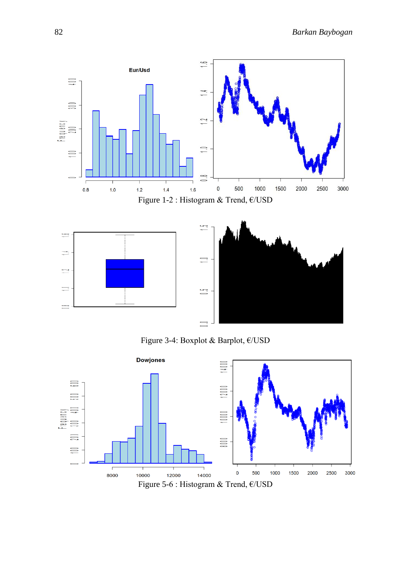

Figure 3-4: Boxplot & Barplot, €/USD

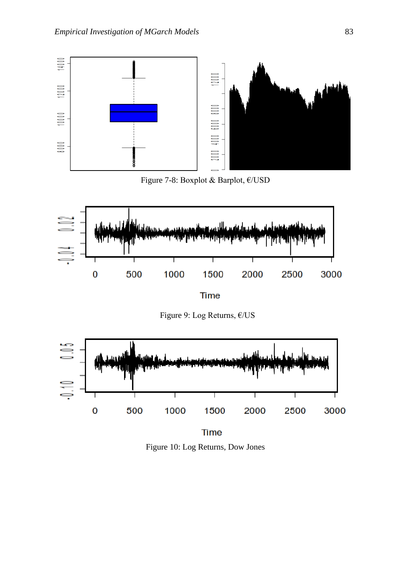

Figure 7-8: Boxplot & Barplot, €/USD



Figure 9: Log Returns, €/US



**Time** Figure 10: Log Returns, Dow Jones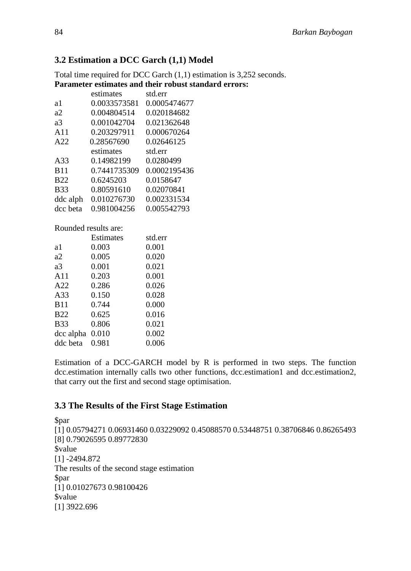## **3.2 Estimation a DCC Garch (1,1) Model**

Total time required for DCC Garch (1,1) estimation is 3,252 seconds. **Parameter estimates and their robust standard errors:**

|                      | estimates    | std.err      |  |  |
|----------------------|--------------|--------------|--|--|
| a1                   | 0.0033573581 | 0.0005474677 |  |  |
| a2                   | 0.004804514  | 0.020184682  |  |  |
| a3                   | 0.001042704  | 0.021362648  |  |  |
| A11                  | 0.203297911  | 0.000670264  |  |  |
| A22                  | 0.28567690   | 0.02646125   |  |  |
|                      | estimates    | std.err      |  |  |
| A33                  | 0.14982199   | 0.0280499    |  |  |
| <b>B11</b>           | 0.7441735309 | 0.0002195436 |  |  |
| <b>B22</b>           | 0.6245203    | 0.0158647    |  |  |
| <b>B33</b>           | 0.80591610   | 0.02070841   |  |  |
| ddc alph             | 0.010276730  | 0.002331534  |  |  |
| dcc beta             | 0.981004256  | 0.005542793  |  |  |
| Rounded results are: |              |              |  |  |
|                      | Estimates    | std.err      |  |  |
| a1                   | 0.003        | 0.001        |  |  |
| a2                   | 0.005        | 0.020        |  |  |
| a3                   | 0.001        | 0.021        |  |  |
| A11                  | 0.203        | 0.001        |  |  |
| A22                  | 0.286        | 0.026        |  |  |
| A33                  | 0.150        | 0.028        |  |  |
| <b>B11</b>           | 0.744        | 0.000        |  |  |
| <b>B22</b>           | 0.625        | 0.016        |  |  |
| <b>B33</b>           | 0.806        | 0.021        |  |  |
| dcc alpha            | 0.010        | 0.002        |  |  |
| ddc beta             | 0.981        | 0.006        |  |  |

Estimation of a DCC-GARCH model by R is performed in two steps. The function dcc.estimation internally calls two other functions, dcc.estimation1 and dcc.estimation2, that carry out the first and second stage optimisation.

## **3.3 The Results of the First Stage Estimation**

\$par [1] 0.05794271 0.06931460 0.03229092 0.45088570 0.53448751 0.38706846 0.86265493 [8] 0.79026595 0.89772830 \$value [1] -2494.872 The results of the second stage estimation \$par [1] 0.01027673 0.98100426 \$value [1] 3922.696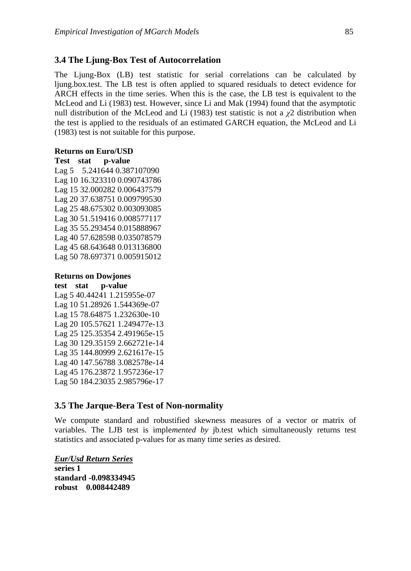## **3.4 The Ljung-Box Test of Autocorrelation**

The Ljung-Box (LB) test statistic for serial correlations can be calculated by ljung.box.test. The LB test is often applied to squared residuals to detect evidence for ARCH effects in the time series. When this is the case, the LB test is equivalent to the McLeod and Li (1983) test. However, since Li and Mak (1994) found that the asymptotic null distribution of the McLeod and Li (1983) test statistic is not a  $\chi$ 2 distribution when the test is applied to the residuals of an estimated GARCH equation, the McLeod and Li (1983) test is not suitable for this purpose.

#### **Returns on Euro/USD**

**Test stat p-value**

Lag 5 5.241644 0.387107090 Lag 10 16.323310 0.090743786 Lag 15 32.000282 0.006437579 Lag 20 37.638751 0.009799530 Lag 25 48.675302 0.003093085 Lag 30 51.519416 0.008577117 Lag 35 55.293454 0.015888967 Lag 40 57.628598 0.035078579 Lag 45 68.643648 0.013136800 Lag 50 78.697371 0.005915012

#### **Returns on Dowjones**

**test stat p-value** Lag 5 40.44241 1.215955e-07 Lag 10 51.28926 1.544369e-07 Lag 15 78.64875 1.232630e-10 Lag 20 105.57621 1.249477e-13 Lag 25 125.35354 2.491965e-15 Lag 30 129.35159 2.662721e-14 Lag 35 144.80999 2.621617e-15 Lag 40 147.56788 3.082578e-14 Lag 45 176.23872 1.957236e-17 Lag 50 184.23035 2.985796e-17

## **3.5 The Jarque-Bera Test of Non-normality**

We compute standard and robustified skewness measures of a vector or matrix of variables. The LJB test is imple*mented by* jb.test which simultaneously returns test statistics and associated p-values for as many time series as desired.

*Eur/Usd Return Series* **series 1 standard -0.098334945 robust 0.008442489**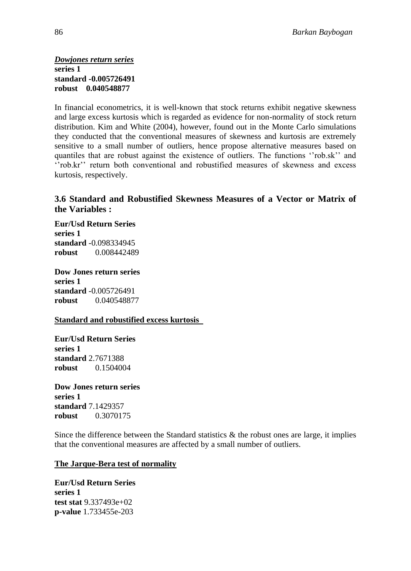*Dowjones return series* **series 1 standard -0.005726491 robust 0.040548877**

In financial econometrics, it is well-known that stock returns exhibit negative skewness and large excess kurtosis which is regarded as evidence for non-normality of stock return distribution. Kim and White (2004), however, found out in the Monte Carlo simulations they conducted that the conventional measures of skewness and kurtosis are extremely sensitive to a small number of outliers, hence propose alternative measures based on quantiles that are robust against the existence of outliers. The functions ""rob.sk"" and "rob.kr" return both conventional and robustified measures of skewness and excess kurtosis, respectively.

## **3.6 Standard and Robustified Skewness Measures of a Vector or Matrix of the Variables :**

**Eur/Usd Return Series series 1 standard** -0.098334945 **robust** 0.008442489

**Dow Jones return series series 1 standard** -0.005726491 **robust** 0.040548877

#### **Standard and robustified excess kurtosis**

**Eur/Usd Return Series series 1 standard** 2.7671388 **robust** 0.1504004

**Dow Jones return series series 1 standard** 7.1429357 **robust** 0.3070175

Since the difference between the Standard statistics  $\&$  the robust ones are large, it implies that the conventional measures are affected by a small number of outliers.

#### **The Jarque-Bera test of normality**

**Eur/Usd Return Series series 1 test stat** 9.337493e+02 **p-value** 1.733455e-203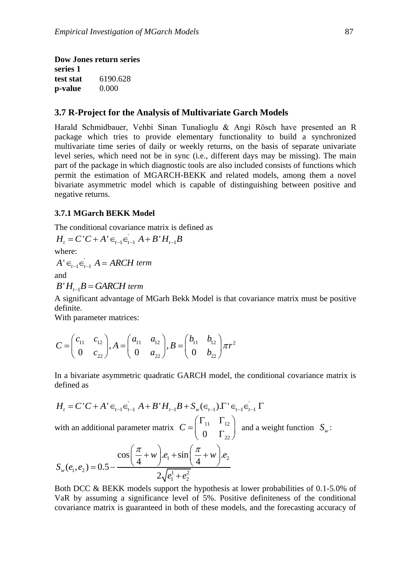**Dow Jones return series series 1 test stat** 6190.628 **p-value** 0.000

#### **3.7 R-Project for the Analysis of Multivariate Garch Models**

Harald Schmidbauer, Vehbi Sinan Tunalioglu & Angi Rösch have presented an R package which tries to provide elementary functionality to build a synchronized multivariate time series of daily or weekly returns, on the basis of separate univariate level series, which need not be in sync (i.e., different days may be missing). The main part of the package in which diagnostic tools are also included consists of functions which permit the estimation of MGARCH-BEKK and related models, among them a novel bivariate asymmetric model which is capable of distinguishing between positive and negative returns.

#### **3.7.1 MGarch BEKK Model**

The conditional covariance matrix is defined as

The conditional covariance matrix is dependent of  $H_t = C'C + A' \in \bigcup_{t=1}^{\infty} A + B'H_{t-1}B$ 

where:

 $A' \in_{t-1} \in_{t-1}^{\cdot} A = ARCH$  term

and

 $B'H_{t-1}B = \text{GARCH term}$ 

A significant advantage of MGarh Bekk Model is that covariance matrix must be positive definite.

With parameter matrices:

with parameter matrices:  
\n
$$
C = \begin{pmatrix} c_{11} & c_{12} \\ 0 & c_{22} \end{pmatrix}, A = \begin{pmatrix} a_{11} & a_{12} \\ 0 & a_{22} \end{pmatrix}, B = \begin{pmatrix} b_{11} & b_{12} \\ 0 & b_{22} \end{pmatrix} \pi r^{2}
$$

In a bivariate asymmetric quadratic GARCH model, the conditional covariance matrix is defined as

defined as  
\n
$$
H_{t} = C'C + A' \in_{t-1} \in_{t-1}^{t} A + B'H_{t-1}B + S_{w}(\in_{t-1})\Gamma' \in_{t-1} \in_{t-1}^{t} \Gamma
$$
\nwith an additional parameter matrix 
$$
C = \begin{pmatrix} \Gamma_{11} & \Gamma_{12} \\ 0 & \Gamma_{22} \end{pmatrix}
$$
 and a weight function  $S_{w}$ :  
\n
$$
S_{w}(e_{1}, e_{2}) = 0.5 - \frac{\cos(\frac{\pi}{4} + w) \cdot e_{1} + \sin(\frac{\pi}{4} + w) \cdot e_{2}}{2\sqrt{e_{1}^{1} + e_{2}^{2}}}
$$

Both DCC & BEKK models support the hypothesis at lower probabilities of 0*.*1-5*.*0% of VaR by assuming a significance level of 5%. Positive definiteness of the conditional covariance matrix is guaranteed in both of these models, and the forecasting accuracy of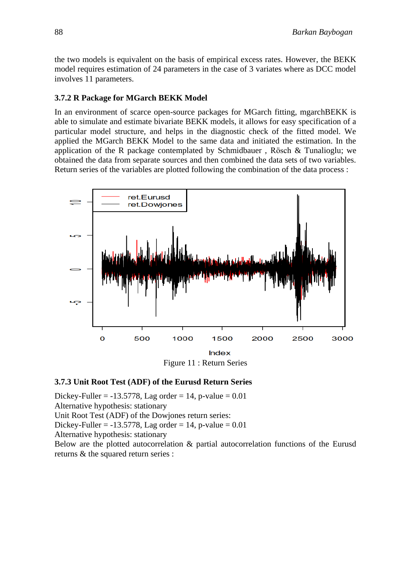the two models is equivalent on the basis of empirical excess rates. However, the BEKK model requires estimation of 24 parameters in the case of 3 variates where as DCC model involves 11 parameters.

#### **3.7.2 R Package for MGarch BEKK Model**

In an environment of scarce open-source packages for MGarch fitting, mgarchBEKK is able to simulate and estimate bivariate BEKK models, it allows for easy specification of a particular model structure, and helps in the diagnostic check of the fitted model. We applied the MGarch BEKK Model to the same data and initiated the estimation. In the application of the R package contemplated by Schmidbauer , Rösch & Tunalioglu; we obtained the data from separate sources and then combined the data sets of two variables. Return series of the variables are plotted following the combination of the data process :



Figure 11 : Return Series

## **3.7.3 Unit Root Test (ADF) of the Eurusd Return Series**

Dickey-Fuller =  $-13.5778$ , Lag order = 14, p-value = 0.01 Alternative hypothesis: stationary Unit Root Test (ADF) of the Dowjones return series: Dickey-Fuller =  $-13.5778$ , Lag order = 14, p-value = 0.01 Alternative hypothesis: stationary Below are the plotted autocorrelation & partial autocorrelation functions of the Eurusd returns & the squared return series :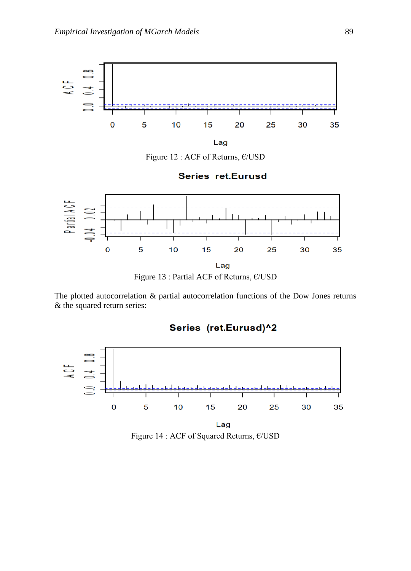

Figure 12 : ACF of Returns, €/USD

**Series ret.Eurusd** 



The plotted autocorrelation & partial autocorrelation functions of the Dow Jones returns & the squared return series:



Series (ret.Eurusd)^2

Figure 14 : ACF of Squared Returns, €/USD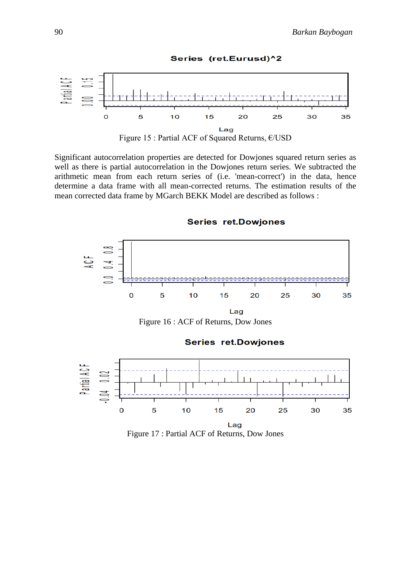

Series (ret.Eurusd)^2

Figure 15 : Partial ACF of Squared Returns, €/USD

Significant autocorrelation properties are detected for Dowjones squared return series as well as there is partial autocorrelation in the Dowjones return series. We subtracted the arithmetic mean from each return series of (i.e. 'mean-correct') in the data, hence determine a data frame with all mean-corrected returns. The estimation results of the mean corrected data frame by MGarch BEKK Model are described as follows :



**Series ret.Dowjones** 

Figure 17 : Partial ACF of Returns, Dow Jones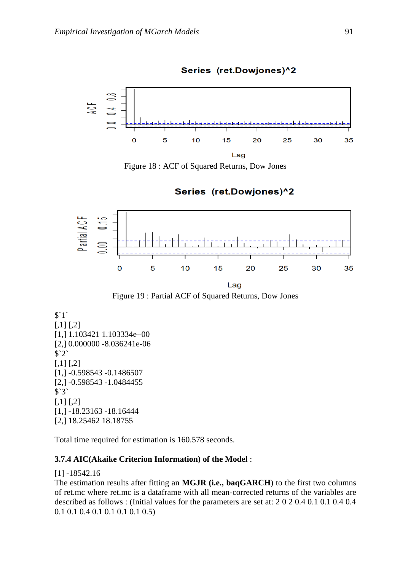

Series (ret.Dowjones)^2

Figure 18 : ACF of Squared Returns, Dow Jones

Series (ret.Dowjones)^2



Figure 19 : Partial ACF of Squared Returns, Dow Jones

```
$`1`
[,1] [,2][1,] 1.103421 1.103334e+00
[2,] 0.000000 -8.036241e-06
$`2`
[,1] [,2][1,] -0.598543 -0.1486507
[2,] -0.598543 -1.0484455
$`3`
[,1] [,2][1,] -18.23163 -18.16444
[2,] 18.25462 18.18755
```
Total time required for estimation is 160.578 seconds.

## **3.7.4 AIC(Akaike Criterion Information) of the Model** :

#### [1] -18542.16

The estimation results after fitting an **MGJR (i.e., baqGARCH**) to the first two columns of ret.mc where ret.mc is a dataframe with all mean-corrected returns of the variables are described as follows : (Initial values for the parameters are set at: 2 0 2 0.4 0.1 0.1 0.4 0.4 0.1 0.1 0.4 0.1 0.1 0.1 0.1 0.5)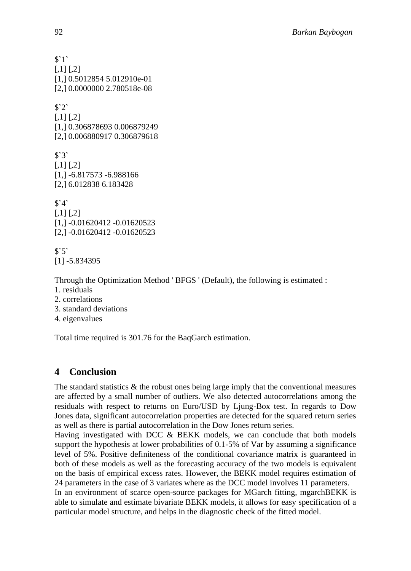```
$`1`
[,1] [,2][1,] 0.5012854 5.012910e-01
[2,] 0.0000000 2.780518e-08
$`2`
[,1] [,2][1,] 0.306878693 0.006879249
[2,] 0.006880917 0.306879618
$`3`
[,1] [,2][1,] -6.817573 -6.988166
[2,] 6.012838 6.183428
$4^{\circ}[0.1] [0.2][1,] -0.01620412 -0.01620523
[2,] -0.01620412 -0.01620523
$5^{\circ}[1] -5.834395
Through the Optimization Method ' BFGS ' (Default), the following is estimated :
1. residuals
2. correlations
3. standard deviations
```
4. eigenvalues

Total time required is 301.76 for the BaqGarch estimation.

# **4 Conclusion**

The standard statistics  $\&$  the robust ones being large imply that the conventional measures are affected by a small number of outliers. We also detected autocorrelations among the residuals with respect to returns on Euro/USD by Ljung-Box test. In regards to Dow Jones data, significant autocorrelation properties are detected for the squared return series as well as there is partial autocorrelation in the Dow Jones return series.

Having investigated with DCC & BEKK models, we can conclude that both models support the hypothesis at lower probabilities of 0.1-5% of Var by assuming a significance level of 5%. Positive definiteness of the conditional covariance matrix is guaranteed in both of these models as well as the forecasting accuracy of the two models is equivalent on the basis of empirical excess rates. However, the BEKK model requires estimation of 24 parameters in the case of 3 variates where as the DCC model involves 11 parameters. In an environment of scarce open-source packages for MGarch fitting, mgarchBEKK is

able to simulate and estimate bivariate BEKK models, it allows for easy specification of a particular model structure, and helps in the diagnostic check of the fitted model.